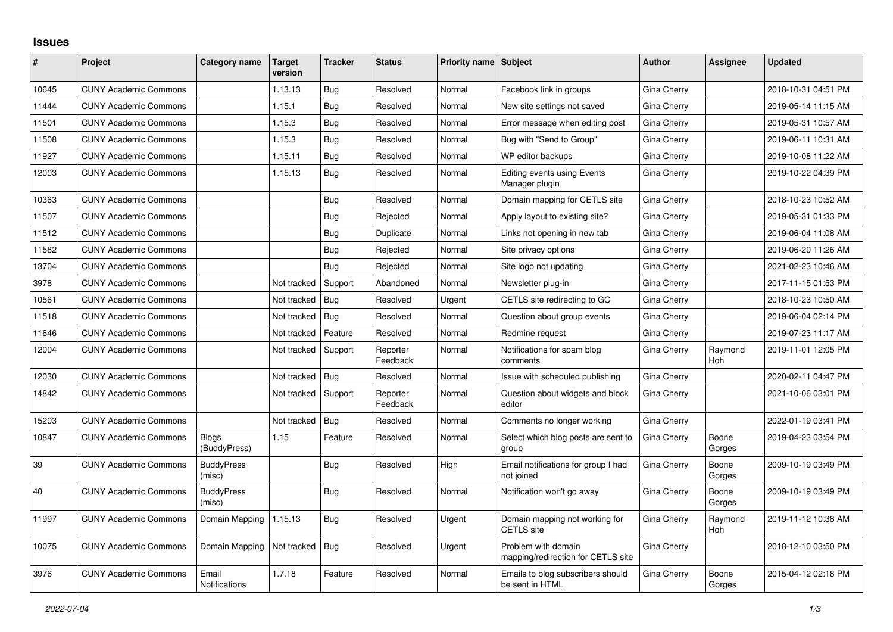## **Issues**

| #     | Project                      | Category name               | Target<br>version | <b>Tracker</b> | <b>Status</b>        | <b>Priority name Subject</b> |                                                           | <b>Author</b> | <b>Assignee</b>       | <b>Updated</b>      |
|-------|------------------------------|-----------------------------|-------------------|----------------|----------------------|------------------------------|-----------------------------------------------------------|---------------|-----------------------|---------------------|
| 10645 | <b>CUNY Academic Commons</b> |                             | 1.13.13           | Bug            | Resolved             | Normal                       | Facebook link in groups                                   | Gina Cherry   |                       | 2018-10-31 04:51 PM |
| 11444 | <b>CUNY Academic Commons</b> |                             | 1.15.1            | Bug            | Resolved             | Normal                       | New site settings not saved                               | Gina Cherry   |                       | 2019-05-14 11:15 AM |
| 11501 | <b>CUNY Academic Commons</b> |                             | 1.15.3            | Bug            | Resolved             | Normal                       | Error message when editing post                           | Gina Cherry   |                       | 2019-05-31 10:57 AM |
| 11508 | <b>CUNY Academic Commons</b> |                             | 1.15.3            | Bug            | Resolved             | Normal                       | Bug with "Send to Group"                                  | Gina Cherry   |                       | 2019-06-11 10:31 AM |
| 11927 | <b>CUNY Academic Commons</b> |                             | 1.15.11           | Bug            | Resolved             | Normal                       | WP editor backups                                         | Gina Cherry   |                       | 2019-10-08 11:22 AM |
| 12003 | <b>CUNY Academic Commons</b> |                             | 1.15.13           | Bug            | Resolved             | Normal                       | <b>Editing events using Events</b><br>Manager plugin      | Gina Cherry   |                       | 2019-10-22 04:39 PM |
| 10363 | <b>CUNY Academic Commons</b> |                             |                   | Bug            | Resolved             | Normal                       | Domain mapping for CETLS site                             | Gina Cherry   |                       | 2018-10-23 10:52 AM |
| 11507 | <b>CUNY Academic Commons</b> |                             |                   | Bug            | Rejected             | Normal                       | Apply layout to existing site?                            | Gina Cherry   |                       | 2019-05-31 01:33 PM |
| 11512 | <b>CUNY Academic Commons</b> |                             |                   | <b>Bug</b>     | Duplicate            | Normal                       | Links not opening in new tab                              | Gina Cherry   |                       | 2019-06-04 11:08 AM |
| 11582 | <b>CUNY Academic Commons</b> |                             |                   | Bug            | Rejected             | Normal                       | Site privacy options                                      | Gina Cherry   |                       | 2019-06-20 11:26 AM |
| 13704 | <b>CUNY Academic Commons</b> |                             |                   | Bug            | Rejected             | Normal                       | Site logo not updating                                    | Gina Cherry   |                       | 2021-02-23 10:46 AM |
| 3978  | <b>CUNY Academic Commons</b> |                             | Not tracked       | Support        | Abandoned            | Normal                       | Newsletter plug-in                                        | Gina Cherry   |                       | 2017-11-15 01:53 PM |
| 10561 | <b>CUNY Academic Commons</b> |                             | Not tracked       | Bug            | Resolved             | Urgent                       | CETLS site redirecting to GC                              | Gina Cherry   |                       | 2018-10-23 10:50 AM |
| 11518 | <b>CUNY Academic Commons</b> |                             | Not tracked       | Bug            | Resolved             | Normal                       | Question about group events                               | Gina Cherry   |                       | 2019-06-04 02:14 PM |
| 11646 | <b>CUNY Academic Commons</b> |                             | Not tracked       | Feature        | Resolved             | Normal                       | Redmine request                                           | Gina Cherry   |                       | 2019-07-23 11:17 AM |
| 12004 | <b>CUNY Academic Commons</b> |                             | Not tracked       | Support        | Reporter<br>Feedback | Normal                       | Notifications for spam blog<br>comments                   | Gina Cherry   | Raymond<br>Hoh        | 2019-11-01 12:05 PM |
| 12030 | <b>CUNY Academic Commons</b> |                             | Not tracked       | Bug            | Resolved             | Normal                       | Issue with scheduled publishing                           | Gina Cherry   |                       | 2020-02-11 04:47 PM |
| 14842 | <b>CUNY Academic Commons</b> |                             | Not tracked       | Support        | Reporter<br>Feedback | Normal                       | Question about widgets and block<br>editor                | Gina Cherry   |                       | 2021-10-06 03:01 PM |
| 15203 | <b>CUNY Academic Commons</b> |                             | Not tracked       | Bug            | Resolved             | Normal                       | Comments no longer working                                | Gina Cherry   |                       | 2022-01-19 03:41 PM |
| 10847 | <b>CUNY Academic Commons</b> | Blogs<br>(BuddyPress)       | 1.15              | Feature        | Resolved             | Normal                       | Select which blog posts are sent to<br>group              | Gina Cherry   | Boone<br>Gorges       | 2019-04-23 03:54 PM |
| 39    | <b>CUNY Academic Commons</b> | <b>BuddyPress</b><br>(misc) |                   | Bug            | Resolved             | High                         | Email notifications for group I had<br>not joined         | Gina Cherry   | Boone<br>Gorges       | 2009-10-19 03:49 PM |
| 40    | <b>CUNY Academic Commons</b> | <b>BuddyPress</b><br>(misc) |                   | <b>Bug</b>     | Resolved             | Normal                       | Notification won't go away                                | Gina Cherry   | Boone<br>Gorges       | 2009-10-19 03:49 PM |
| 11997 | <b>CUNY Academic Commons</b> | Domain Mapping              | 1.15.13           | Bug            | Resolved             | Urgent                       | Domain mapping not working for<br><b>CETLS</b> site       | Gina Cherry   | Raymond<br><b>Hoh</b> | 2019-11-12 10:38 AM |
| 10075 | <b>CUNY Academic Commons</b> | Domain Mapping              | Not tracked       | Bug            | Resolved             | Urgent                       | Problem with domain<br>mapping/redirection for CETLS site | Gina Cherry   |                       | 2018-12-10 03:50 PM |
| 3976  | <b>CUNY Academic Commons</b> | Email<br>Notifications      | 1.7.18            | Feature        | Resolved             | Normal                       | Emails to blog subscribers should<br>be sent in HTML      | Gina Cherry   | Boone<br>Gorges       | 2015-04-12 02:18 PM |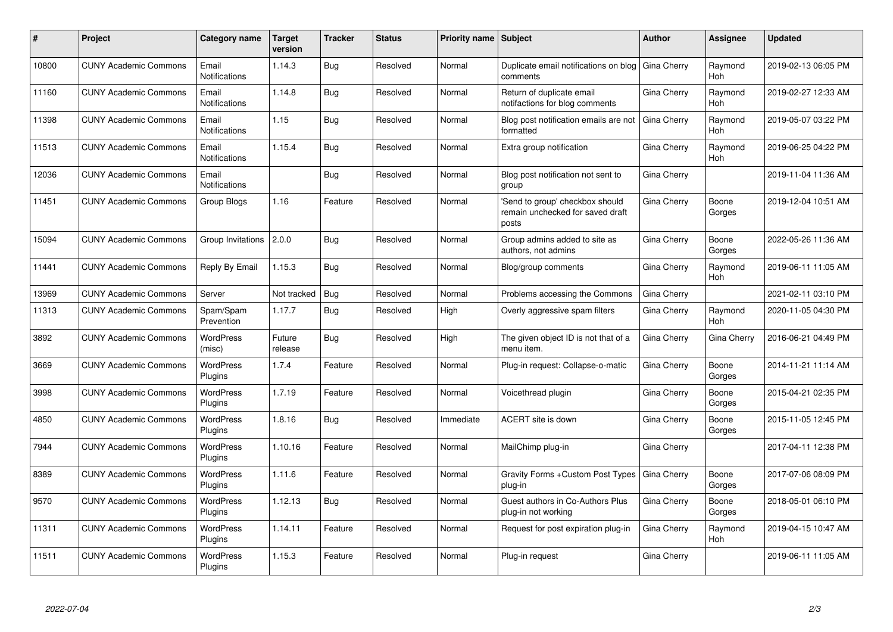| #     | Project                      | Category name                 | <b>Target</b><br>version | <b>Tracker</b> | <b>Status</b> | <b>Priority name Subject</b> |                                                                              | Author      | Assignee              | <b>Updated</b>      |
|-------|------------------------------|-------------------------------|--------------------------|----------------|---------------|------------------------------|------------------------------------------------------------------------------|-------------|-----------------------|---------------------|
| 10800 | <b>CUNY Academic Commons</b> | Email<br><b>Notifications</b> | 1.14.3                   | Bug            | Resolved      | Normal                       | Duplicate email notifications on blog<br>comments                            | Gina Cherry | Raymond<br><b>Hoh</b> | 2019-02-13 06:05 PM |
| 11160 | <b>CUNY Academic Commons</b> | Email<br><b>Notifications</b> | 1.14.8                   | Bug            | Resolved      | Normal                       | Return of duplicate email<br>notifactions for blog comments                  | Gina Cherry | Raymond<br>Hoh        | 2019-02-27 12:33 AM |
| 11398 | <b>CUNY Academic Commons</b> | Email<br><b>Notifications</b> | 1.15                     | <b>Bug</b>     | Resolved      | Normal                       | Blog post notification emails are not<br>formatted                           | Gina Cherry | Raymond<br>Hoh        | 2019-05-07 03:22 PM |
| 11513 | <b>CUNY Academic Commons</b> | Email<br><b>Notifications</b> | 1.15.4                   | <b>Bug</b>     | Resolved      | Normal                       | Extra group notification                                                     | Gina Cherry | Raymond<br>Hoh        | 2019-06-25 04:22 PM |
| 12036 | <b>CUNY Academic Commons</b> | Email<br>Notifications        |                          | Bug            | Resolved      | Normal                       | Blog post notification not sent to<br>group                                  | Gina Cherry |                       | 2019-11-04 11:36 AM |
| 11451 | <b>CUNY Academic Commons</b> | Group Blogs                   | 1.16                     | Feature        | Resolved      | Normal                       | 'Send to group' checkbox should<br>remain unchecked for saved draft<br>posts | Gina Cherry | Boone<br>Gorges       | 2019-12-04 10:51 AM |
| 15094 | <b>CUNY Academic Commons</b> | Group Invitations             | 2.0.0                    | <b>Bug</b>     | Resolved      | Normal                       | Group admins added to site as<br>authors, not admins                         | Gina Cherry | Boone<br>Gorges       | 2022-05-26 11:36 AM |
| 11441 | <b>CUNY Academic Commons</b> | Reply By Email                | 1.15.3                   | <b>Bug</b>     | Resolved      | Normal                       | Blog/group comments                                                          | Gina Cherry | Raymond<br>Hoh        | 2019-06-11 11:05 AM |
| 13969 | <b>CUNY Academic Commons</b> | Server                        | Not tracked              | Bug            | Resolved      | Normal                       | Problems accessing the Commons                                               | Gina Cherry |                       | 2021-02-11 03:10 PM |
| 11313 | <b>CUNY Academic Commons</b> | Spam/Spam<br>Prevention       | 1.17.7                   | Bug            | Resolved      | High                         | Overly aggressive spam filters                                               | Gina Cherry | Raymond<br>Hoh        | 2020-11-05 04:30 PM |
| 3892  | <b>CUNY Academic Commons</b> | <b>WordPress</b><br>(misc)    | Future<br>release        | Bug            | Resolved      | High                         | The given object ID is not that of a<br>menu item.                           | Gina Cherry | Gina Cherry           | 2016-06-21 04:49 PM |
| 3669  | <b>CUNY Academic Commons</b> | <b>WordPress</b><br>Plugins   | 1.7.4                    | Feature        | Resolved      | Normal                       | Plug-in request: Collapse-o-matic                                            | Gina Cherry | Boone<br>Gorges       | 2014-11-21 11:14 AM |
| 3998  | <b>CUNY Academic Commons</b> | <b>WordPress</b><br>Plugins   | 1.7.19                   | Feature        | Resolved      | Normal                       | Voicethread plugin                                                           | Gina Cherry | Boone<br>Gorges       | 2015-04-21 02:35 PM |
| 4850  | <b>CUNY Academic Commons</b> | <b>WordPress</b><br>Plugins   | 1.8.16                   | <b>Bug</b>     | Resolved      | Immediate                    | <b>ACERT</b> site is down                                                    | Gina Cherry | Boone<br>Gorges       | 2015-11-05 12:45 PM |
| 7944  | <b>CUNY Academic Commons</b> | <b>WordPress</b><br>Plugins   | 1.10.16                  | Feature        | Resolved      | Normal                       | MailChimp plug-in                                                            | Gina Cherry |                       | 2017-04-11 12:38 PM |
| 8389  | <b>CUNY Academic Commons</b> | WordPress<br><b>Plugins</b>   | 1.11.6                   | Feature        | Resolved      | Normal                       | Gravity Forms + Custom Post Types<br>plug-in                                 | Gina Cherry | Boone<br>Gorges       | 2017-07-06 08:09 PM |
| 9570  | <b>CUNY Academic Commons</b> | WordPress<br>Plugins          | 1.12.13                  | Bug            | Resolved      | Normal                       | Guest authors in Co-Authors Plus<br>plug-in not working                      | Gina Cherry | Boone<br>Gorges       | 2018-05-01 06:10 PM |
| 11311 | <b>CUNY Academic Commons</b> | <b>WordPress</b><br>Plugins   | 1.14.11                  | Feature        | Resolved      | Normal                       | Request for post expiration plug-in                                          | Gina Cherry | Raymond<br>Hoh        | 2019-04-15 10:47 AM |
| 11511 | <b>CUNY Academic Commons</b> | <b>WordPress</b><br>Plugins   | 1.15.3                   | Feature        | Resolved      | Normal                       | Plug-in request                                                              | Gina Cherry |                       | 2019-06-11 11:05 AM |